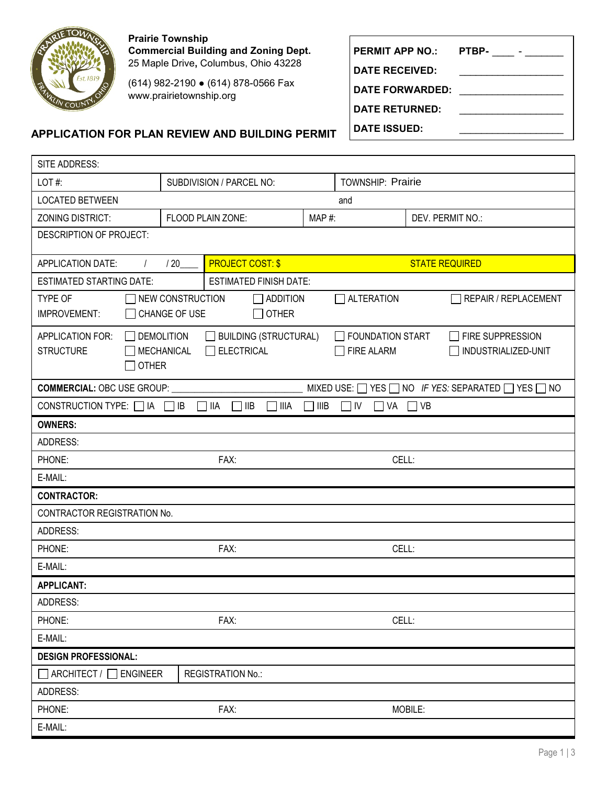

**Prairie Township Commercial Building and Zoning Dept.** 25 Maple Drive**,** Columbus, Ohio 43228

(614) 982-2190 ● (614) 878-0566 Fax www.prairietownship.org

## **APPLICATION FOR PLAN REVIEW AND BUILDING PERMIT**

| <b>PERMIT APP NO.:</b> | PTBP- |
|------------------------|-------|
| <b>DATE RECEIVED:</b>  |       |
| <b>DATE FORWARDED:</b> |       |
| <b>DATE RETURNED:</b>  |       |
| <b>DATE ISSUED:</b>    |       |

| SITE ADDRESS:                                                                                                                                                                                          |                                |                                      |        |                                                |                             |  |  |
|--------------------------------------------------------------------------------------------------------------------------------------------------------------------------------------------------------|--------------------------------|--------------------------------------|--------|------------------------------------------------|-----------------------------|--|--|
| LOT#:                                                                                                                                                                                                  | SUBDIVISION / PARCEL NO:       |                                      |        | <b>TOWNSHIP: Prairie</b>                       |                             |  |  |
| <b>LOCATED BETWEEN</b><br>and                                                                                                                                                                          |                                |                                      |        |                                                |                             |  |  |
| <b>ZONING DISTRICT:</b>                                                                                                                                                                                |                                | FLOOD PLAIN ZONE:                    | MAP#:  |                                                | DEV. PERMIT NO.:            |  |  |
| DESCRIPTION OF PROJECT:                                                                                                                                                                                |                                |                                      |        |                                                |                             |  |  |
| <b>APPLICATION DATE:</b>                                                                                                                                                                               | <b>PROJECT COST: \$</b><br>/20 |                                      |        | <b>STATE REQUIRED</b>                          |                             |  |  |
| <b>ESTIMATED STARTING DATE:</b><br><b>ESTIMATED FINISH DATE:</b>                                                                                                                                       |                                |                                      |        |                                                |                             |  |  |
| $\Box$ NEW CONSTRUCTION<br>$\Box$ ADDITION<br>TYPE OF<br>ALTERATION<br>CHANGE OF USE<br>$\Box$ OTHER<br>IMPROVEMENT:                                                                                   |                                |                                      |        |                                                | <b>REPAIR / REPLACEMENT</b> |  |  |
| $\Box$ BUILDING (STRUCTURAL)<br>$\Box$ FOUNDATION START<br>APPLICATION FOR:<br>$\Box$ DEMOLITION<br>$\Box$ ELECTRICAL<br><b>STRUCTURE</b><br><b>MECHANICAL</b><br>$\Box$ FIRE ALARM<br>$\square$ other |                                |                                      |        | $\Box$ FIRE SUPPRESSION<br>INDUSTRIALIZED-UNIT |                             |  |  |
| <b>COMMERCIAL: OBC USE GROUP:</b><br>MIXED USE: $\Box$ YES $\Box$ NO IF YES: SEPARATED $\Box$ YES $\Box$ NO                                                                                            |                                |                                      |        |                                                |                             |  |  |
| CONSTRUCTION TYPE: $\Box$ IA $\Box$ IB                                                                                                                                                                 |                                | $\Box$ IIA<br>$\sqcap$ IIB<br>∏ IIIA | ] IIIB | $\Box$ IV<br>$\Box$ VA $\Box$ VB               |                             |  |  |
| <b>OWNERS:</b>                                                                                                                                                                                         |                                |                                      |        |                                                |                             |  |  |
| <b>ADDRESS:</b>                                                                                                                                                                                        |                                |                                      |        |                                                |                             |  |  |
| PHONE:<br>FAX:                                                                                                                                                                                         |                                |                                      | CELL:  |                                                |                             |  |  |
| E-MAIL:                                                                                                                                                                                                |                                |                                      |        |                                                |                             |  |  |
| <b>CONTRACTOR:</b>                                                                                                                                                                                     |                                |                                      |        |                                                |                             |  |  |
| CONTRACTOR REGISTRATION No.                                                                                                                                                                            |                                |                                      |        |                                                |                             |  |  |
| ADDRESS:                                                                                                                                                                                               |                                |                                      |        |                                                |                             |  |  |
| FAX:<br>PHONE:                                                                                                                                                                                         |                                |                                      | CELL:  |                                                |                             |  |  |
| E-MAIL:                                                                                                                                                                                                |                                |                                      |        |                                                |                             |  |  |
| <b>APPLICANT:</b>                                                                                                                                                                                      |                                |                                      |        |                                                |                             |  |  |
| ADDRESS:                                                                                                                                                                                               |                                |                                      |        |                                                |                             |  |  |
| PHONE:<br>FAX:                                                                                                                                                                                         |                                |                                      | CELL:  |                                                |                             |  |  |
| E-MAIL:                                                                                                                                                                                                |                                |                                      |        |                                                |                             |  |  |
| <b>DESIGN PROFESSIONAL:</b>                                                                                                                                                                            |                                |                                      |        |                                                |                             |  |  |
| $\Box$ ARCHITECT / $\Box$ ENGINEER                                                                                                                                                                     |                                | <b>REGISTRATION No.:</b>             |        |                                                |                             |  |  |
| ADDRESS:                                                                                                                                                                                               |                                |                                      |        |                                                |                             |  |  |
| PHONE:                                                                                                                                                                                                 | FAX:                           |                                      |        |                                                | MOBILE:                     |  |  |
| E-MAIL:                                                                                                                                                                                                |                                |                                      |        |                                                |                             |  |  |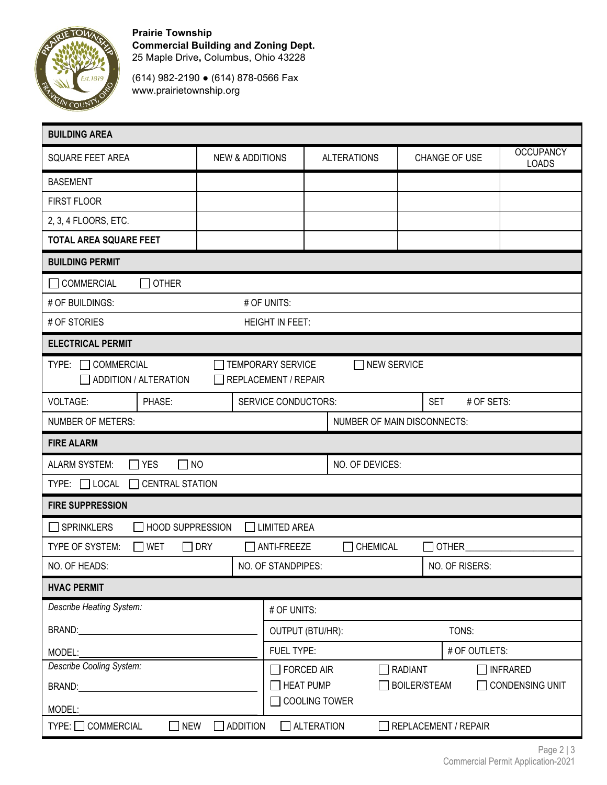

**Prairie Township Commercial Building and Zoning Dept.** 25 Maple Drive**,** Columbus, Ohio 43228

(614) 982-2190 ● (614) 878-0566 Fax www.prairietownship.org

| <b>BUILDING AREA</b>                                                                                                                                                                                                           |                                                              |                  |                                                                   |         |               |                                  |  |
|--------------------------------------------------------------------------------------------------------------------------------------------------------------------------------------------------------------------------------|--------------------------------------------------------------|------------------|-------------------------------------------------------------------|---------|---------------|----------------------------------|--|
| <b>SQUARE FEET AREA</b>                                                                                                                                                                                                        | <b>NEW &amp; ADDITIONS</b>                                   |                  | <b>ALTERATIONS</b>                                                |         | CHANGE OF USE | <b>OCCUPANCY</b><br><b>LOADS</b> |  |
| <b>BASEMENT</b>                                                                                                                                                                                                                |                                                              |                  |                                                                   |         |               |                                  |  |
| FIRST FLOOR                                                                                                                                                                                                                    |                                                              |                  |                                                                   |         |               |                                  |  |
| 2, 3, 4 FLOORS, ETC.                                                                                                                                                                                                           |                                                              |                  |                                                                   |         |               |                                  |  |
| <b>TOTAL AREA SQUARE FEET</b>                                                                                                                                                                                                  |                                                              |                  |                                                                   |         |               |                                  |  |
| <b>BUILDING PERMIT</b>                                                                                                                                                                                                         |                                                              |                  |                                                                   |         |               |                                  |  |
| <b>OTHER</b><br><b>COMMERCIAL</b>                                                                                                                                                                                              |                                                              |                  |                                                                   |         |               |                                  |  |
| # OF BUILDINGS:<br># OF UNITS:                                                                                                                                                                                                 |                                                              |                  |                                                                   |         |               |                                  |  |
| # OF STORIES                                                                                                                                                                                                                   | <b>HEIGHT IN FEET:</b>                                       |                  |                                                                   |         |               |                                  |  |
| <b>ELECTRICAL PERMIT</b>                                                                                                                                                                                                       |                                                              |                  |                                                                   |         |               |                                  |  |
| <b>COMMERCIAL</b><br><b>TEMPORARY SERVICE</b><br><b>NEW SERVICE</b><br>TYPE:<br>ADDITION / ALTERATION<br>REPLACEMENT / REPAIR                                                                                                  |                                                              |                  |                                                                   |         |               |                                  |  |
| PHASE:<br><b>VOLTAGE:</b>                                                                                                                                                                                                      | SERVICE CONDUCTORS:<br><b>SET</b><br># OF SETS:              |                  |                                                                   |         |               |                                  |  |
| <b>NUMBER OF METERS:</b><br>NUMBER OF MAIN DISCONNECTS:                                                                                                                                                                        |                                                              |                  |                                                                   |         |               |                                  |  |
| <b>FIRE ALARM</b>                                                                                                                                                                                                              |                                                              |                  |                                                                   |         |               |                                  |  |
| <b>ALARM SYSTEM:</b><br>$\square$ Yes<br>$\Box$ NO                                                                                                                                                                             |                                                              |                  | NO. OF DEVICES:                                                   |         |               |                                  |  |
| $TYPE: \Box$ LOCAL<br><b>CENTRAL STATION</b>                                                                                                                                                                                   |                                                              |                  |                                                                   |         |               |                                  |  |
| <b>FIRE SUPPRESSION</b>                                                                                                                                                                                                        |                                                              |                  |                                                                   |         |               |                                  |  |
| $\Box$ SPRINKLERS<br>$\Box$ limited area<br><b>HOOD SUPPRESSION</b>                                                                                                                                                            |                                                              |                  |                                                                   |         |               |                                  |  |
| TYPE OF SYSTEM:<br><b>WET</b>                                                                                                                                                                                                  | <b>DRY</b><br>CHEMICAL<br><b>OTHER</b><br>ANTI-FREEZE<br>a a |                  |                                                                   |         |               |                                  |  |
| NO. OF HEADS:                                                                                                                                                                                                                  | NO. OF STANDPIPES:<br>NO. OF RISERS:                         |                  |                                                                   |         |               |                                  |  |
| <b>HVAC PERMIT</b>                                                                                                                                                                                                             |                                                              |                  |                                                                   |         |               |                                  |  |
| Describe Heating System:                                                                                                                                                                                                       |                                                              | # OF UNITS:      |                                                                   |         |               |                                  |  |
| BRAND: University of the service of the service of the service of the service of the service of the service of the service of the service of the service of the service of the service of the service of the service of the se |                                                              | OUTPUT (BTU/HR): |                                                                   |         | TONS:         |                                  |  |
| MODEL:                                                                                                                                                                                                                         |                                                              |                  | FUEL TYPE:                                                        |         |               | # OF OUTLETS:                    |  |
| Describe Cooling System:                                                                                                                                                                                                       |                                                              |                  |                                                                   | RADIANT |               | $\Box$ INFRARED                  |  |
|                                                                                                                                                                                                                                |                                                              |                  | $\Box$ HEAT PUMP<br>$\Box$ BOILER/STEAM<br>$\Box$ CONDENSING UNIT |         |               |                                  |  |
| $\Box$ COOLING TOWER<br>MODEL:                                                                                                                                                                                                 |                                                              |                  |                                                                   |         |               |                                  |  |
| $\Box$ ADDITION<br><b>NEW</b><br>$\Box$ ALTERATION<br><b>TYPE:</b> □ COMMERCIAL<br>REPLACEMENT / REPAIR                                                                                                                        |                                                              |                  |                                                                   |         |               |                                  |  |